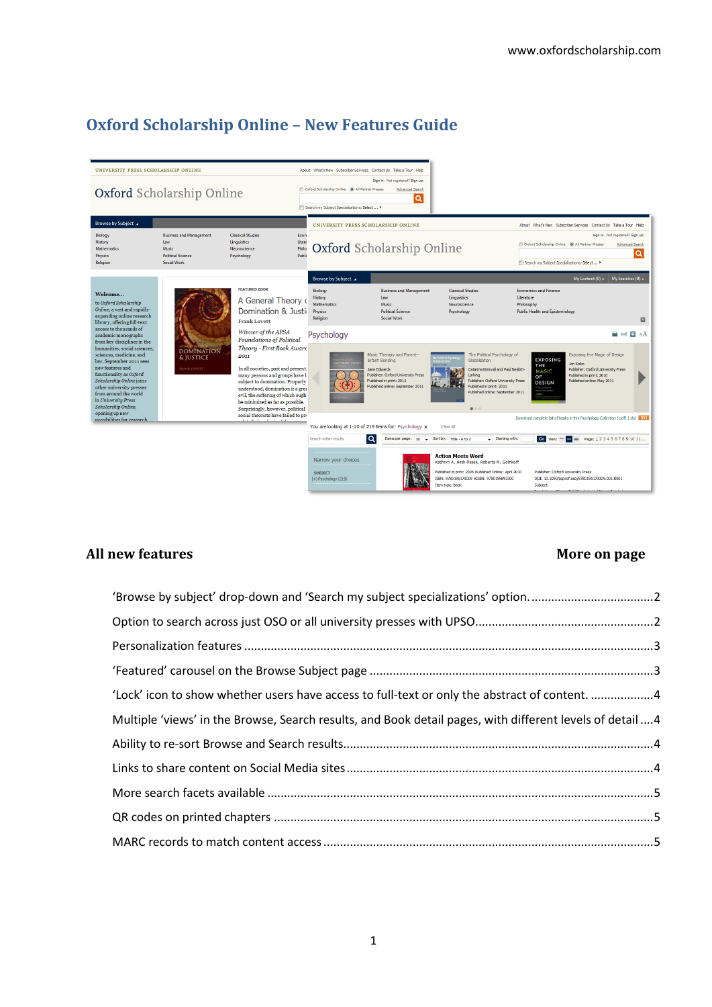# **Oxford Scholarship Online – New Features Guide**



# All new features **More on page**

| 'Browse by subject' drop-down and 'Search my subject specializations' option                              |  |
|-----------------------------------------------------------------------------------------------------------|--|
|                                                                                                           |  |
|                                                                                                           |  |
|                                                                                                           |  |
| 'Lock' icon to show whether users have access to full-text or only the abstract of content. 4             |  |
| Multiple 'views' in the Browse, Search results, and Book detail pages, with different levels of detail  4 |  |
|                                                                                                           |  |
|                                                                                                           |  |
|                                                                                                           |  |
|                                                                                                           |  |
|                                                                                                           |  |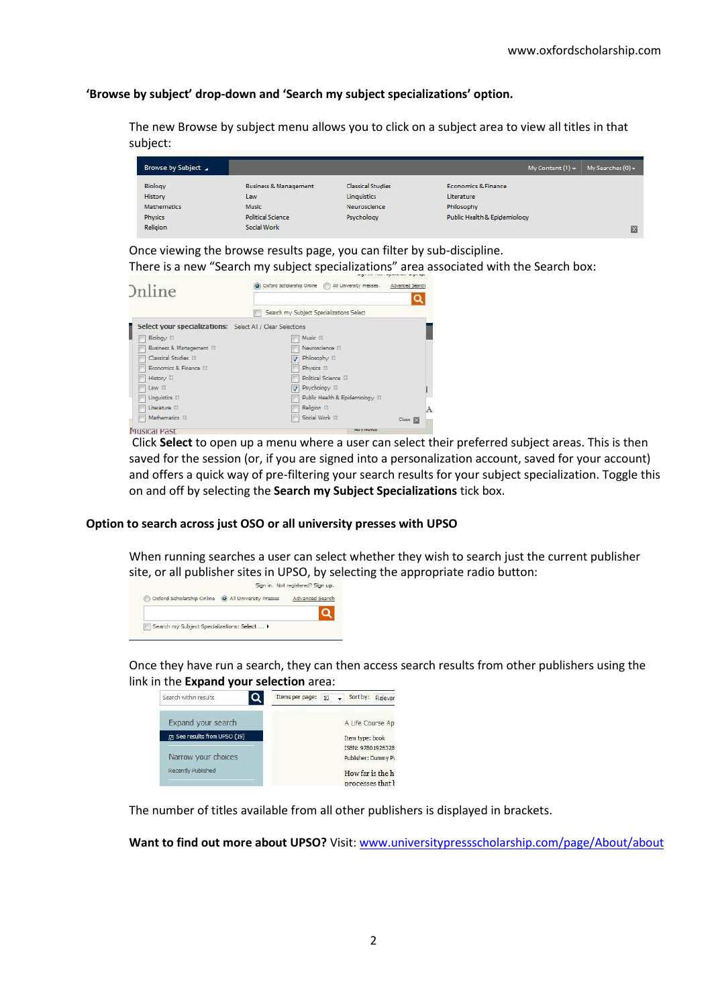# <span id="page-1-0"></span>**'Browse by subject' drop-down and 'Search my subject specializations' option.**

The new Browse by subject menu allows you to click on a subject area to view all titles in that subject:

| Browse by Subject |                          |                   | My Content $(1)$ +           | My Searches $(0)$ $\star$ |
|-------------------|--------------------------|-------------------|------------------------------|---------------------------|
| Biology           | Business & Management    | Classical Studies | Economics & Finance          |                           |
| History           | Law                      | Linguistics       | Literature                   |                           |
| Mathematics       | Music                    | Neuroscience      | Philosophy                   |                           |
| Physics           | <b>Political Science</b> | Psychology        | Public Health & Epidemiology |                           |
| Religion          | Social Work              |                   |                              | $\overline{\mathbf{x}}$   |

Once viewing the browse results page, you can filter by sub-discipline. There is a new "Search my subject specializations" area associated with the Search box:



Click **Select** to open up a menu where a user can select their preferred subject areas. This is then saved for the session (or, if you are signed into a personalization account, saved for your account) and offers a quick way of pre-filtering your search results for your subject specialization. Toggle this on and off by selecting the **Search my Subject Specializations** tick box.

### <span id="page-1-1"></span>**Option to search across just OSO or all university presses with UPSO**

When running searches a user can select whether they wish to search just the current publisher site, or all publisher sites in UPSO, by selecting the appropriate radio button:<br>Sign in. Not registered? Sign up.



Once they have run a search, they can then access search results from other publishers using the link in the **Expand your selection** area:

| Search within results           | Sort by:<br>Items per page:<br>Relevar<br>10 |
|---------------------------------|----------------------------------------------|
| Expand your search              | A Life Course Ap                             |
| Fig. See results from UPSO (19) | Item type: book                              |
|                                 | ISBN: 97801926328                            |
| Narrow your choices             | Publisher: Dummy Pu                          |
| Recently Published              | How far is the h                             |
|                                 | processes that <b>}</b>                      |

The number of titles available from all other publishers is displayed in brackets.

Want to find out more about UPSO? Visit[: www.universitypressscholarship.com/page/About/about](http://www.universitypressscholarship.com/page/About/about)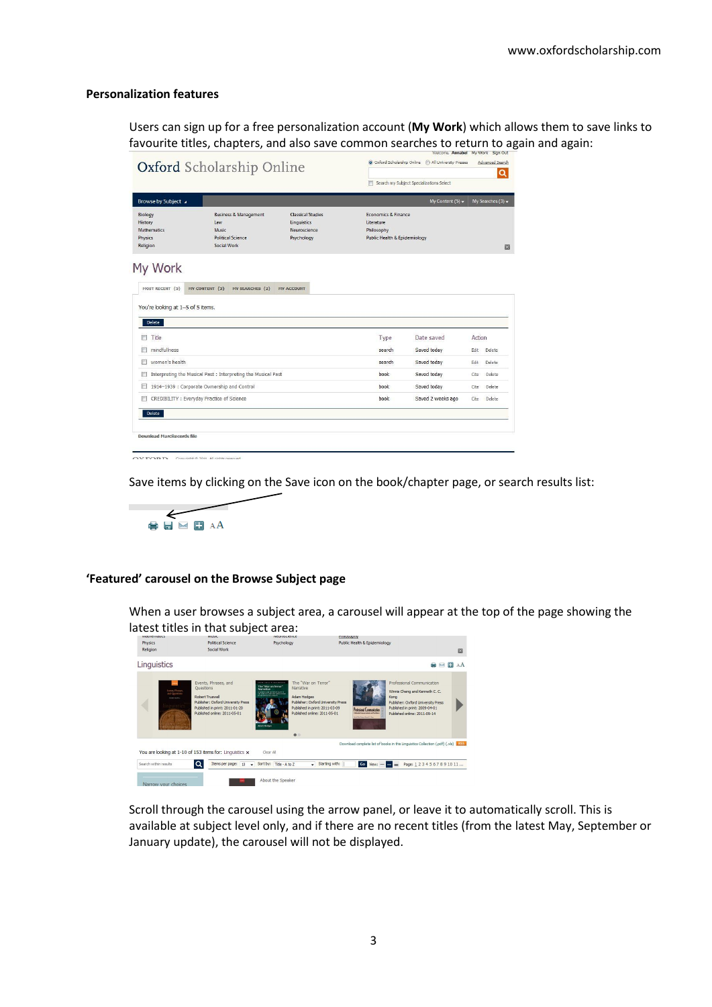#### <span id="page-2-0"></span>**Personalization features**

Users can sign up for a free personalization account (**My Work**) which allows them to save links to favourite titles, chapters, and also save common searches to return to again and again:

|                                                                 |                                                                                             |                                                                       |                                                                                 | Search my Subject Specializations Select |        |                           |
|-----------------------------------------------------------------|---------------------------------------------------------------------------------------------|-----------------------------------------------------------------------|---------------------------------------------------------------------------------|------------------------------------------|--------|---------------------------|
| <b>Browse by Subject</b>                                        |                                                                                             |                                                                       |                                                                                 | My Content (5) $\star$                   |        | My Searches $(3)$ $\star$ |
| Biology<br>History<br><b>Mathematics</b><br>Physics<br>Religion | <b>Business &amp; Management</b><br>Law<br>Music<br><b>Political Science</b><br>Social Work | <b>Classical Studies</b><br>Linquistics<br>Neuroscience<br>Psychology | Economics & Finance<br>Literature<br>Philosophy<br>Public Health & Epidemiology |                                          |        | 囜                         |
|                                                                 |                                                                                             |                                                                       |                                                                                 |                                          |        |                           |
| My Work<br>MOST RECENT (5)                                      | MY CONTENT (3)<br>MY SEARCHES (2)                                                           | <b>MY ACCOUNT</b>                                                     |                                                                                 |                                          |        |                           |
| Delete                                                          |                                                                                             |                                                                       |                                                                                 |                                          |        |                           |
| Title<br>F                                                      |                                                                                             |                                                                       | Type                                                                            | Date saved                               | Action |                           |
| mindfullness                                                    |                                                                                             |                                                                       | search                                                                          | Saved today                              | Edit   | Delete                    |
| women's health<br>m                                             |                                                                                             |                                                                       | search                                                                          | Saved today                              | Edit   | Delete                    |
| You're looking at 1-5 of 5 items.                               | Interpreting the Musical Past : Interpreting the Musical Past                               |                                                                       | book                                                                            | Saved today                              | Cite   | Delete                    |
| m                                                               | 1914-1939 : Corporate Ownership and Control                                                 |                                                                       | book                                                                            | Saved today                              | Cite   | Delete                    |
|                                                                 | CREDIBILITY : Everyday Practice of Science                                                  |                                                                       | book                                                                            | Saved 2 weeks ago                        | Cite   | Delete                    |

OVEOBB Convinct @ 2011 All rights reserved

Save items by clicking on the Save icon on the book/chapter page, or search results list:



#### <span id="page-2-1"></span>**'Featured' carousel on the Browse Subject page**

When a user browses a subject area, a carousel will appear at the top of the page showing the latest titles in that subject area:

| INSTITUTION IS N                                               | attst titles in that sabject area.<br><b>IVIUSIE</b>                                                                                                                | <b>INFORMATION IPODEP</b>                                                                                                                                                                                                                                                                                                                                           | <b>PTHIOSOPHY</b>                                                                                                 |                                                                                                                                                                      |    |
|----------------------------------------------------------------|---------------------------------------------------------------------------------------------------------------------------------------------------------------------|---------------------------------------------------------------------------------------------------------------------------------------------------------------------------------------------------------------------------------------------------------------------------------------------------------------------------------------------------------------------|-------------------------------------------------------------------------------------------------------------------|----------------------------------------------------------------------------------------------------------------------------------------------------------------------|----|
| Physics<br><b>Religion</b>                                     | <b>Political Science</b><br>Social Work                                                                                                                             | Psychology                                                                                                                                                                                                                                                                                                                                                          | <b>Public Health &amp; Epidemiology</b>                                                                           |                                                                                                                                                                      | 図  |
| Linguistics                                                    |                                                                                                                                                                     |                                                                                                                                                                                                                                                                                                                                                                     |                                                                                                                   | $+$<br>$\overline{\phantom{a}}$                                                                                                                                      | AA |
| Drents Divases.<br><b>Ind Openings</b><br><b>LEWIS COMPANY</b> | Events, Phrases, and<br><b>Ouestions</b><br>Robert Truswell<br>Publisher: Oxford University Press<br>Published in print: 2011-01-20<br>Published online: 2011-05-01 | The "War on Terror"<br><b>STAR CHAIN IN THE REPORT OF</b><br>The "War on Terror"<br><b>Narrative</b><br>Narrative<br>in powering with contractions after the<br><b>NO FOR CONTINUES AND INVESTIGATION</b><br>Adam Hodges<br>Publisher: Oxford University Press<br>Published in print: 2011-03-09<br>Published online: 2011-05-01<br><b>Adam Modern</b><br>$\bullet$ | Kong<br><b>Profesional Communication</b><br><b>Shorts forem were ad for the</b><br><b>WASHINGTON ASSAULT FROM</b> | Professional Communication<br>Winnie Cheng and Kenneth C. C.<br>Publisher: Oxford University Press<br>Published in print: 2009-04-01<br>Published online: 2011-09-14 |    |
|                                                                | You are looking at 1-10 of 153 items for: Linguistics x                                                                                                             | Clear All                                                                                                                                                                                                                                                                                                                                                           | Download complete list of books in this Linguistics Collection (.pdf) (.xls)   RSS                                |                                                                                                                                                                      |    |
| Search within negults.                                         | ۱۹<br>Items per page: 10                                                                                                                                            | Sort by: Title - A to 7<br>$\overline{\phantom{a}}$                                                                                                                                                                                                                                                                                                                 | Starting with:                                                                                                    | Go View: $ =$ $=$ Page: 1234567891011                                                                                                                                |    |

Scroll through the carousel using the arrow panel, or leave it to automatically scroll. This is available at subject level only, and if there are no recent titles (from the latest May, September or January update), the carousel will not be displayed.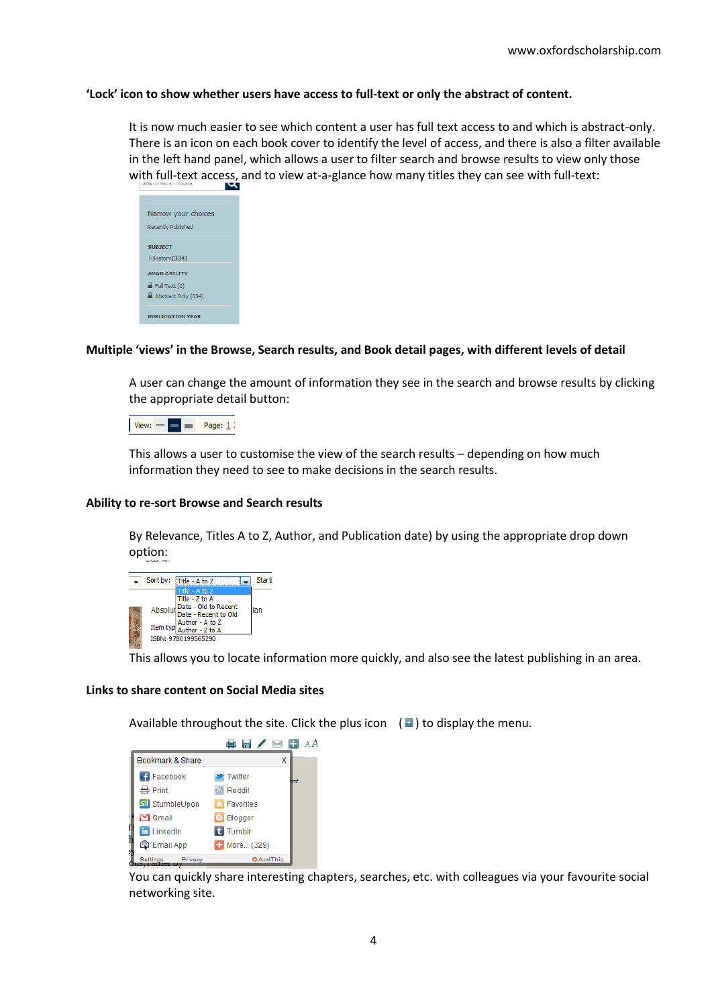# <span id="page-3-0"></span>**'Lock' icon to show whether users have access to full-text or only the abstract of content.**

It is now much easier to see which content a user has full text access to and which is abstract-only. There is an icon on each book cover to identify the level of access, and there is also a filter available in the left hand panel, which allows a user to filter search and browse results to view only those with full-text access, and to view at-a-glance how many titles they can see with full-text:

| Narrow your choices       |
|---------------------------|
|                           |
| <b>Recently Published</b> |
|                           |
|                           |
| <b>SUBJECT</b>            |
| [+]History(334)           |
|                           |
| <b>AVATI ARTI TTV</b>     |
|                           |
| Full Text (0)             |
|                           |
| Abstract Only (334)       |
|                           |
|                           |
| <b>PUBLICATION VEAR</b>   |
|                           |

# <span id="page-3-1"></span>**Multiple 'views' in the Browse, Search results, and Book detail pages, with different levels of detail**

A user can change the amount of information they see in the search and browse results by clicking the appropriate detail button:



This allows a user to customise the view of the search results – depending on how much information they need to see to make decisions in the search results.

### <span id="page-3-2"></span>**Ability to re-sort Browse and Search results**

By Relevance, Titles A to Z, Author, and Publication date) by using the appropriate drop down option:



This allows you to locate information more quickly, and also see the latest publishing in an area.

### <span id="page-3-3"></span>**Links to share content on Social Media sites**

Available throughout the site. Click the plus icon  $\Box$ ) to display the menu.

|                      | 鲁日ノ国田              |
|----------------------|--------------------|
| Bookmark & Share     | x                  |
| Facebook             | Twitter            |
| $\Rightarrow$ Print  | <b>B</b> Reddit    |
| SumbleUpon           | <b>X</b> Favorites |
| $\blacksquare$ Gmail | <b>B</b> Blogger   |
| <b>in</b> LinkedIn   | t Tumblr           |
| <b>B</b> Email App   | + More (329)       |
| Settings<br>Privacy  | <b>O</b> Add This  |

You can quickly share interesting chapters, searches, etc. with colleagues via your favourite social networking site.